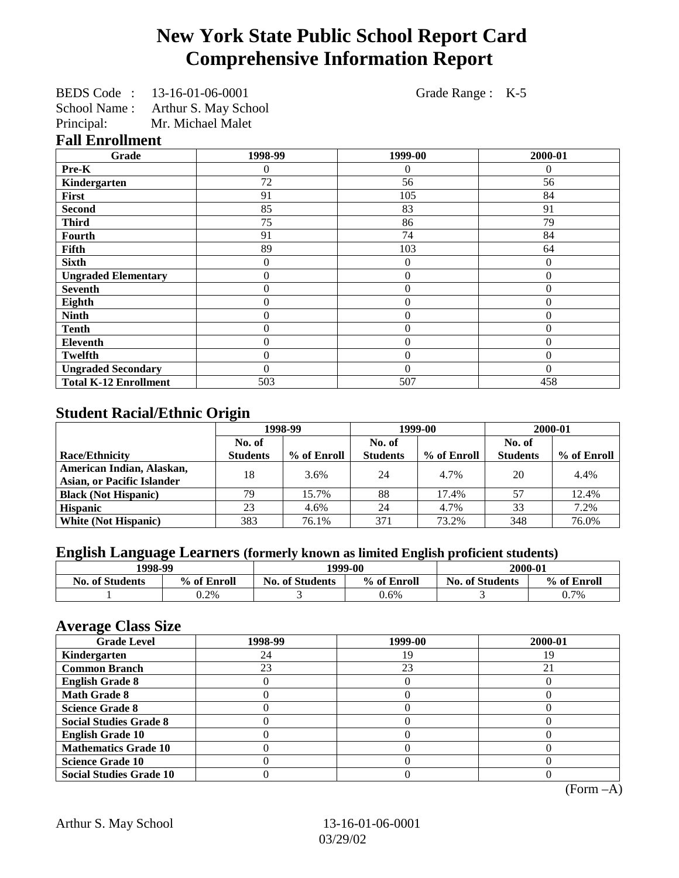# **New York State Public School Report Card Comprehensive Information Report**

| BEDS Code:    | 13-16-01-06-0001     |
|---------------|----------------------|
| School Name : | Arthur S. May School |
| Principal:    | Mr. Michael Malet    |

Grade Range : K-5

### **Fall Enrollment**

| Grade                        | 1998-99        | 1999-00        | 2000-01  |
|------------------------------|----------------|----------------|----------|
| Pre-K                        | 0              | 0              | $\theta$ |
| Kindergarten                 | 72             | 56             | 56       |
| First                        | 91             | 105            | 84       |
| <b>Second</b>                | 85             | 83             | 91       |
| <b>Third</b>                 | 75             | 86             | 79       |
| Fourth                       | 91             | 74             | 84       |
| Fifth                        | 89             | 103            | 64       |
| <b>Sixth</b>                 | 0              | $\overline{0}$ | $\Omega$ |
| <b>Ungraded Elementary</b>   | 0              | $\overline{0}$ | $\theta$ |
| <b>Seventh</b>               | 0              | $\overline{0}$ | $\theta$ |
| Eighth                       | $\overline{0}$ | $\overline{0}$ | $\theta$ |
| <b>Ninth</b>                 | 0              | $\overline{0}$ | $\theta$ |
| <b>Tenth</b>                 | 0              | $\overline{0}$ | $\theta$ |
| <b>Eleventh</b>              | 0              | $\overline{0}$ | $\Omega$ |
| <b>Twelfth</b>               | 0              | $\overline{0}$ | 0        |
| <b>Ungraded Secondary</b>    | 0              | $\Omega$       | $\Omega$ |
| <b>Total K-12 Enrollment</b> | 503            | 507            | 458      |

# **Student Racial/Ethnic Origin**

|                                   | 1998-99         |             | 1999-00         |             | 2000-01         |             |
|-----------------------------------|-----------------|-------------|-----------------|-------------|-----------------|-------------|
|                                   | No. of          |             | No. of          |             | No. of          |             |
| <b>Race/Ethnicity</b>             | <b>Students</b> | % of Enroll | <b>Students</b> | % of Enroll | <b>Students</b> | % of Enroll |
| American Indian, Alaskan,         | 18              | 3.6%        | 24              | 4.7%        | 20              | 4.4%        |
| <b>Asian, or Pacific Islander</b> |                 |             |                 |             |                 |             |
| <b>Black (Not Hispanic)</b>       | 79              | 15.7%       | 88              | 17.4%       | 57              | 12.4%       |
| <b>Hispanic</b>                   | 23              | 4.6%        | 24              | 4.7%        | 33              | 7.2%        |
| <b>White (Not Hispanic)</b>       | 383             | 76.1%       | 371             | 73.2%       | 348             | 76.0%       |

## **English Language Learners (formerly known as limited English proficient students)**

|                        | 1998-99     |                        | 1999-00     |                        | 2000-01     |
|------------------------|-------------|------------------------|-------------|------------------------|-------------|
| <b>No. of Students</b> | % of Enroll | <b>No. of Students</b> | % of Enroll | <b>No. of Students</b> | % of Enroll |
|                        | 0.2%        |                        | 0.6%        |                        | 0.7%        |

## **Average Class Size**

| $-7$<br><b>Grade Level</b>     | 1998-99 | 1999-00 | 2000-01 |
|--------------------------------|---------|---------|---------|
| Kindergarten                   | 24      | 19      | 19      |
| <b>Common Branch</b>           | 23      | 23      |         |
| <b>English Grade 8</b>         |         |         |         |
| <b>Math Grade 8</b>            |         |         |         |
| <b>Science Grade 8</b>         |         |         |         |
| <b>Social Studies Grade 8</b>  |         |         |         |
| <b>English Grade 10</b>        |         |         |         |
| <b>Mathematics Grade 10</b>    |         |         |         |
| <b>Science Grade 10</b>        |         |         |         |
| <b>Social Studies Grade 10</b> |         |         |         |

(Form –A)